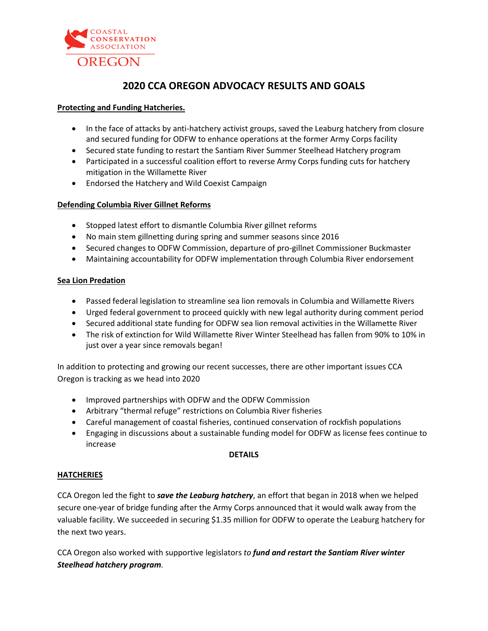

# **2020 CCA OREGON ADVOCACY RESULTS AND GOALS**

## **Protecting and Funding Hatcheries.**

- In the face of attacks by anti-hatchery activist groups, saved the Leaburg hatchery from closure and secured funding for ODFW to enhance operations at the former Army Corps facility
- Secured state funding to restart the Santiam River Summer Steelhead Hatchery program
- Participated in a successful coalition effort to reverse Army Corps funding cuts for hatchery mitigation in the Willamette River
- Endorsed the Hatchery and Wild Coexist Campaign

## **Defending Columbia River Gillnet Reforms**

- Stopped latest effort to dismantle Columbia River gillnet reforms
- No main stem gillnetting during spring and summer seasons since 2016
- Secured changes to ODFW Commission, departure of pro-gillnet Commissioner Buckmaster
- Maintaining accountability for ODFW implementation through Columbia River endorsement

#### **Sea Lion Predation**

- Passed federal legislation to streamline sea lion removals in Columbia and Willamette Rivers
- Urged federal government to proceed quickly with new legal authority during comment period
- Secured additional state funding for ODFW sea lion removal activities in the Willamette River
- The risk of extinction for Wild Willamette River Winter Steelhead has fallen from 90% to 10% in just over a year since removals began!

In addition to protecting and growing our recent successes, there are other important issues CCA Oregon is tracking as we head into 2020

- Improved partnerships with ODFW and the ODFW Commission
- Arbitrary "thermal refuge" restrictions on Columbia River fisheries
- Careful management of coastal fisheries, continued conservation of rockfish populations
- Engaging in discussions about a sustainable funding model for ODFW as license fees continue to increase

#### **DETAILS**

#### **HATCHERIES**

CCA Oregon led the fight to *save the Leaburg hatchery*, an effort that began in 2018 when we helped secure one-year of bridge funding after the Army Corps announced that it would walk away from the valuable facility. We succeeded in securing \$1.35 million for ODFW to operate the Leaburg hatchery for the next two years.

CCA Oregon also worked with supportive legislators *to fund and restart the Santiam River winter Steelhead hatchery program.*